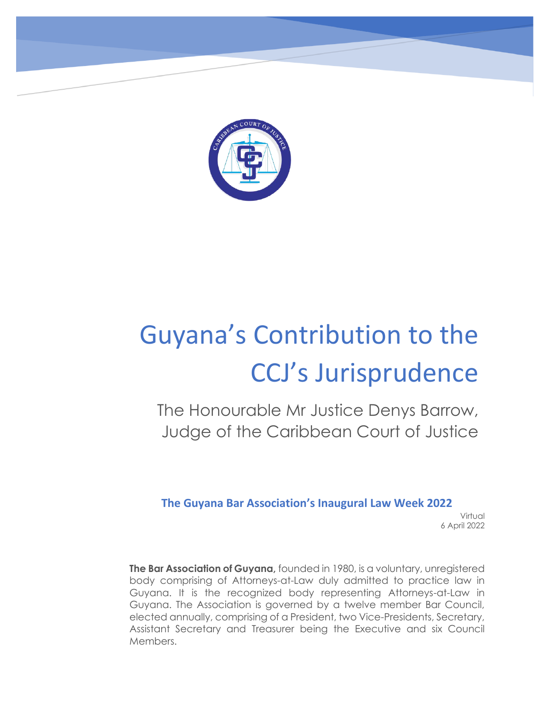

# Guyana's Contribution to the CCJ's Jurisprudence

The Honourable Mr Justice Denys Barrow, Judge of the Caribbean Court of Justice

**The Guyana Bar Association's Inaugural Law Week 2022**

 Virtual 6 April 2022

 Assistant Secretary and Treasurer being the Executive and six Council **The Bar Association of Guyana,** founded in 1980, is a voluntary, unregistered body comprising of Attorneys-at-Law duly admitted to practice law in Guyana. It is the recognized body representing Attorneys-at-Law in Guyana. The Association is governed by a twelve member Bar Council, elected annually, comprising of a President, two Vice-Presidents, Secretary, Members.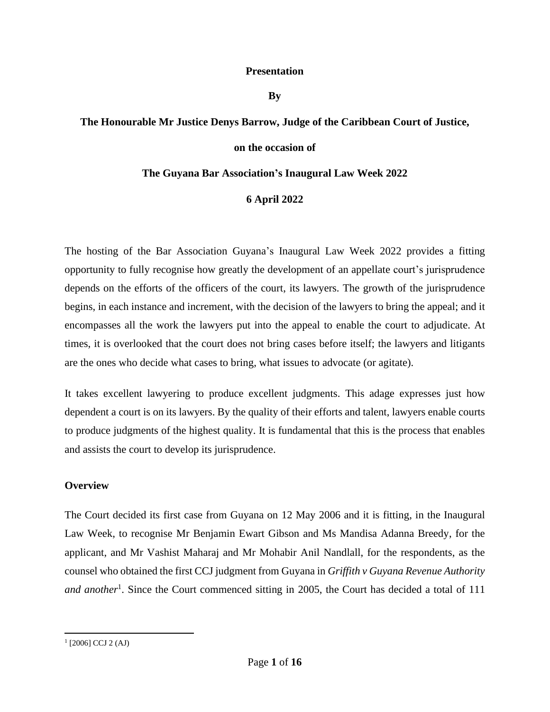#### **Presentation**

**By** 

# **The Honourable Mr Justice Denys Barrow, Judge of the Caribbean Court of Justice,**

## **on the occasion of**

## **The Guyana Bar Association's Inaugural Law Week 2022**

## **6 April 2022**

The hosting of the Bar Association Guyana's Inaugural Law Week 2022 provides a fitting opportunity to fully recognise how greatly the development of an appellate court's jurisprudence depends on the efforts of the officers of the court, its lawyers. The growth of the jurisprudence begins, in each instance and increment, with the decision of the lawyers to bring the appeal; and it encompasses all the work the lawyers put into the appeal to enable the court to adjudicate. At times, it is overlooked that the court does not bring cases before itself; the lawyers and litigants are the ones who decide what cases to bring, what issues to advocate (or agitate).

It takes excellent lawyering to produce excellent judgments. This adage expresses just how dependent a court is on its lawyers. By the quality of their efforts and talent, lawyers enable courts to produce judgments of the highest quality. It is fundamental that this is the process that enables and assists the court to develop its jurisprudence.

## **Overview**

The Court decided its first case from Guyana on 12 May 2006 and it is fitting, in the Inaugural Law Week, to recognise Mr Benjamin Ewart Gibson and Ms Mandisa Adanna Breedy, for the applicant, and Mr Vashist Maharaj and Mr Mohabir Anil Nandlall, for the respondents, as the counsel who obtained the first CCJ judgment from Guyana in *Griffith v Guyana Revenue Authority*  and another<sup>1</sup>. Since the Court commenced sitting in 2005, the Court has decided a total of 111

 $(2006)$  CCJ 2 (AJ)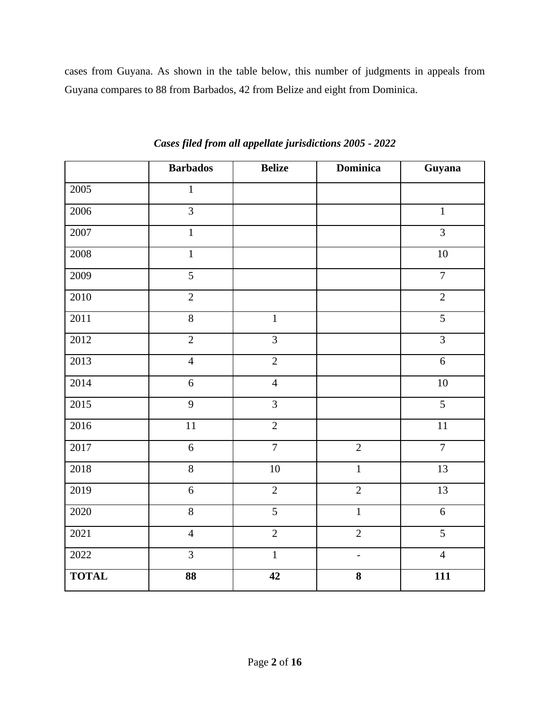cases from Guyana. As shown in the table below, this number of judgments in appeals from Guyana compares to 88 from Barbados, 42 from Belize and eight from Dominica.

|              | <b>Barbados</b> | <b>Belize</b>  | <b>Dominica</b> | Guyana          |
|--------------|-----------------|----------------|-----------------|-----------------|
| 2005         | $\mathbf{1}$    |                |                 |                 |
| 2006         | $\overline{3}$  |                |                 | $\mathbf{1}$    |
| 2007         | $\overline{1}$  |                |                 | $\overline{3}$  |
| 2008         | $\overline{1}$  |                |                 | $\overline{10}$ |
| 2009         | $\overline{5}$  |                |                 | $\overline{7}$  |
| 2010         | $\overline{2}$  |                |                 | $\overline{2}$  |
| 2011         | $\overline{8}$  | $\overline{1}$ |                 | $\overline{5}$  |
| 2012         | $\overline{2}$  | $\overline{3}$ |                 | $\overline{3}$  |
| 2013         | $\overline{4}$  | $\overline{2}$ |                 | $\sqrt{6}$      |
| 2014         | 6               | $\overline{4}$ |                 | $\overline{10}$ |
| 2015         | $\overline{9}$  | $\overline{3}$ |                 | $\overline{5}$  |
| 2016         | $11\,$          | $\overline{2}$ |                 | 11              |
| 2017         | $\overline{6}$  | $\overline{7}$ | $\overline{2}$  | $\overline{7}$  |
| 2018         | $\overline{8}$  | 10             | $\overline{1}$  | 13              |
| 2019         | $\sqrt{6}$      | $\overline{2}$ | $\overline{2}$  | 13              |
| 2020         | $\overline{8}$  | $\overline{5}$ | $\mathbf{1}$    | 6               |
| 2021         | $\overline{4}$  | $\overline{2}$ | $\overline{2}$  | $\overline{5}$  |
| 2022         | $\overline{3}$  | $\overline{1}$ | $\frac{1}{2}$   | $\overline{4}$  |
| <b>TOTAL</b> | 88              | 42             | 8               | 111             |

*Cases filed from all appellate jurisdictions 2005 - 2022*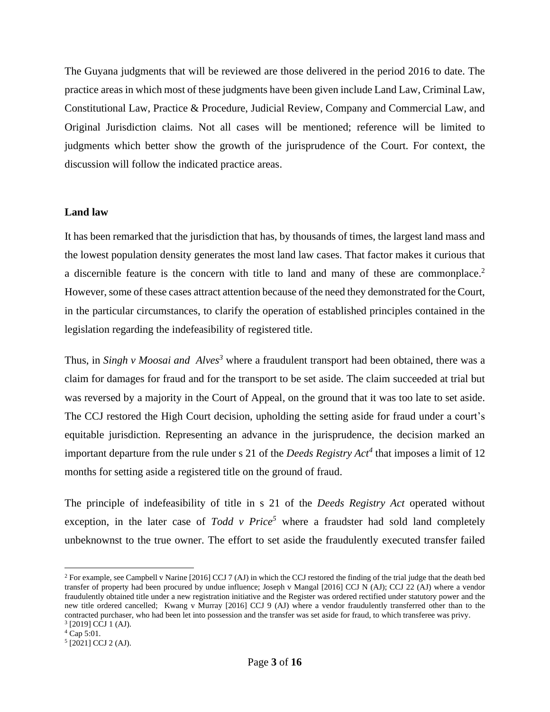The Guyana judgments that will be reviewed are those delivered in the period 2016 to date. The practice areas in which most of these judgments have been given include Land Law, Criminal Law, Constitutional Law, Practice & Procedure, Judicial Review, Company and Commercial Law, and Original Jurisdiction claims. Not all cases will be mentioned; reference will be limited to judgments which better show the growth of the jurisprudence of the Court. For context, the discussion will follow the indicated practice areas.

## **Land law**

It has been remarked that the jurisdiction that has, by thousands of times, the largest land mass and the lowest population density generates the most land law cases. That factor makes it curious that a discernible feature is the concern with title to land and many of these are commonplace.<sup>2</sup> However, some of these cases attract attention because of the need they demonstrated for the Court, in the particular circumstances, to clarify the operation of established principles contained in the legislation regarding the indefeasibility of registered title.

Thus, in *Singh v Moosai and Alves<sup>3</sup>* where a fraudulent transport had been obtained, there was a claim for damages for fraud and for the transport to be set aside. The claim succeeded at trial but was reversed by a majority in the Court of Appeal, on the ground that it was too late to set aside. The CCJ restored the High Court decision, upholding the setting aside for fraud under a court's equitable jurisdiction. Representing an advance in the jurisprudence, the decision marked an important departure from the rule under s 21 of the *Deeds Registry Act<sup>4</sup>* that imposes a limit of 12 months for setting aside a registered title on the ground of fraud.

The principle of indefeasibility of title in s 21 of the *Deeds Registry Act* operated without exception, in the later case of  $Todd$  v  $Price^5$  where a fraudster had sold land completely unbeknownst to the true owner. The effort to set aside the fraudulently executed transfer failed

<sup>&</sup>lt;sup>2</sup> For example, see Campbell v Narine [2016] CCJ 7 (AJ) in which the CCJ restored the finding of the trial judge that the death bed transfer of property had been procured by undue influence; Joseph v Mangal [2016] CCJ N (AJ); CCJ 22 (AJ) where a vendor fraudulently obtained title under a new registration initiative and the Register was ordered rectified under statutory power and the new title ordered cancelled; Kwang v Murray [2016] CCJ 9 (AJ) where a vendor fraudulently transferred other than to the contracted purchaser, who had been let into possession and the transfer was set aside for fraud, to which transferee was privy. <sup>3</sup> [2019] CCJ 1 (AJ).

<sup>4</sup> Cap 5:01.

<sup>5</sup> [2021] CCJ 2 (AJ).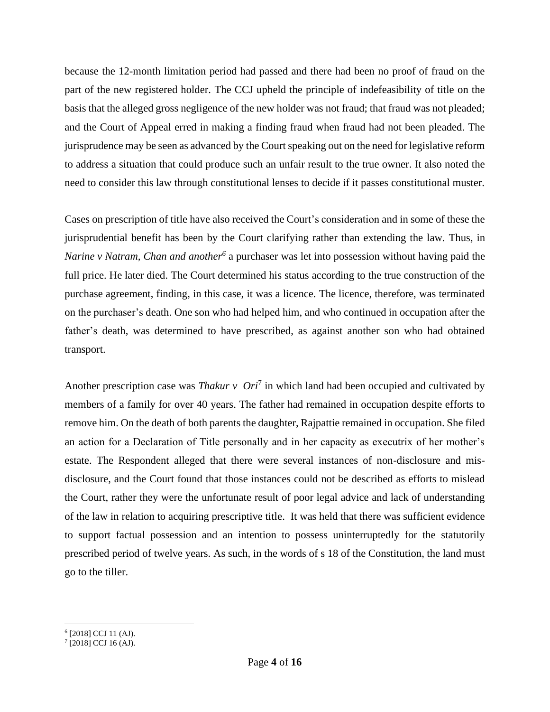because the 12-month limitation period had passed and there had been no proof of fraud on the part of the new registered holder. The CCJ upheld the principle of indefeasibility of title on the basis that the alleged gross negligence of the new holder was not fraud; that fraud was not pleaded; and the Court of Appeal erred in making a finding fraud when fraud had not been pleaded. The jurisprudence may be seen as advanced by the Court speaking out on the need for legislative reform to address a situation that could produce such an unfair result to the true owner. It also noted the need to consider this law through constitutional lenses to decide if it passes constitutional muster.

Cases on prescription of title have also received the Court's consideration and in some of these the jurisprudential benefit has been by the Court clarifying rather than extending the law. Thus, in *Narine v Natram, Chan and another<sup>6</sup>* a purchaser was let into possession without having paid the full price. He later died. The Court determined his status according to the true construction of the purchase agreement, finding, in this case, it was a licence. The licence, therefore, was terminated on the purchaser's death. One son who had helped him, and who continued in occupation after the father's death, was determined to have prescribed, as against another son who had obtained transport.

Another prescription case was *Thakur v Ori*<sup>7</sup> in which land had been occupied and cultivated by members of a family for over 40 years. The father had remained in occupation despite efforts to remove him. On the death of both parents the daughter, Rajpattie remained in occupation. She filed an action for a Declaration of Title personally and in her capacity as executrix of her mother's estate. The Respondent alleged that there were several instances of non-disclosure and misdisclosure, and the Court found that those instances could not be described as efforts to mislead the Court, rather they were the unfortunate result of poor legal advice and lack of understanding of the law in relation to acquiring prescriptive title. It was held that there was sufficient evidence to support factual possession and an intention to possess uninterruptedly for the statutorily prescribed period of twelve years. As such, in the words of s 18 of the Constitution, the land must go to the tiller.

<sup>6</sup> [2018] CCJ 11 (AJ).

<sup>7</sup> [2018] CCJ 16 (AJ).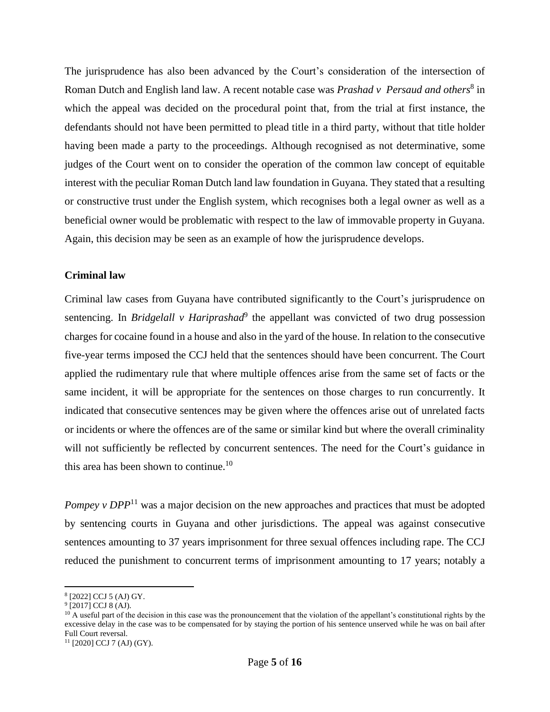The jurisprudence has also been advanced by the Court's consideration of the intersection of Roman Dutch and English land law. A recent notable case was *Prashad v Persaud and others*<sup>8</sup> in which the appeal was decided on the procedural point that, from the trial at first instance, the defendants should not have been permitted to plead title in a third party, without that title holder having been made a party to the proceedings. Although recognised as not determinative, some judges of the Court went on to consider the operation of the common law concept of equitable interest with the peculiar Roman Dutch land law foundation in Guyana. They stated that a resulting or constructive trust under the English system, which recognises both a legal owner as well as a beneficial owner would be problematic with respect to the law of immovable property in Guyana. Again, this decision may be seen as an example of how the jurisprudence develops.

## **Criminal law**

Criminal law cases from Guyana have contributed significantly to the Court's jurisprudence on sentencing. In *Bridgelall v Hariprashad*<sup>9</sup> the appellant was convicted of two drug possession charges for cocaine found in a house and also in the yard of the house. In relation to the consecutive five-year terms imposed the CCJ held that the sentences should have been concurrent. The Court applied the rudimentary rule that where multiple offences arise from the same set of facts or the same incident, it will be appropriate for the sentences on those charges to run concurrently. It indicated that consecutive sentences may be given where the offences arise out of unrelated facts or incidents or where the offences are of the same or similar kind but where the overall criminality will not sufficiently be reflected by concurrent sentences. The need for the Court's guidance in this area has been shown to continue.<sup>10</sup>

*Pompey v DPP*<sup>11</sup> was a major decision on the new approaches and practices that must be adopted by sentencing courts in Guyana and other jurisdictions. The appeal was against consecutive sentences amounting to 37 years imprisonment for three sexual offences including rape. The CCJ reduced the punishment to concurrent terms of imprisonment amounting to 17 years; notably a

<sup>8</sup> [2022] CCJ 5 (AJ) GY.

<sup>&</sup>lt;sup>9</sup> [2017] CCJ 8 (AJ).

 $10$  A useful part of the decision in this case was the pronouncement that the violation of the appellant's constitutional rights by the excessive delay in the case was to be compensated for by staying the portion of his sentence unserved while he was on bail after Full Court reversal.

 $11$  [2020] CCJ 7 (AJ) (GY).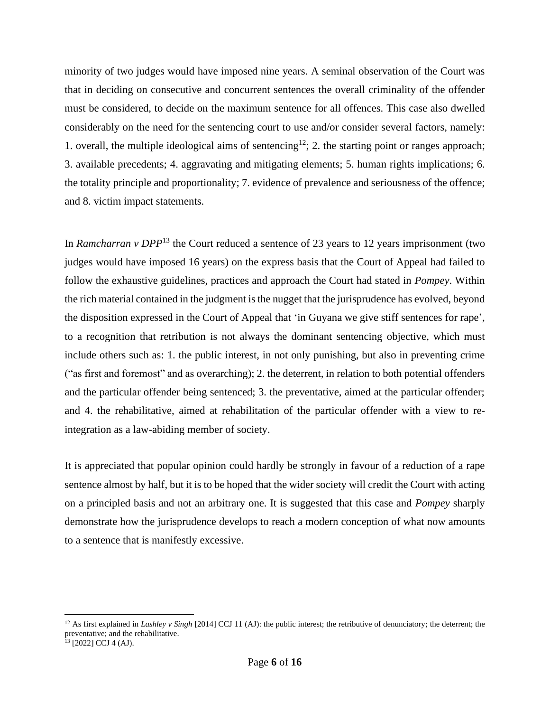minority of two judges would have imposed nine years. A seminal observation of the Court was that in deciding on consecutive and concurrent sentences the overall criminality of the offender must be considered, to decide on the maximum sentence for all offences. This case also dwelled considerably on the need for the sentencing court to use and/or consider several factors, namely: 1. overall, the multiple ideological aims of sentencing<sup>12</sup>; 2. the starting point or ranges approach; 3. available precedents; 4. aggravating and mitigating elements; 5. human rights implications; 6. the totality principle and proportionality; 7. evidence of prevalence and seriousness of the offence; and 8. victim impact statements.

In *Ramcharran v DPP*<sup>13</sup> the Court reduced a sentence of 23 years to 12 years imprisonment (two judges would have imposed 16 years) on the express basis that the Court of Appeal had failed to follow the exhaustive guidelines, practices and approach the Court had stated in *Pompey*. Within the rich material contained in the judgment is the nugget that the jurisprudence has evolved, beyond the disposition expressed in the Court of Appeal that 'in Guyana we give stiff sentences for rape', to a recognition that retribution is not always the dominant sentencing objective, which must include others such as: 1. the public interest, in not only punishing, but also in preventing crime ("as first and foremost" and as overarching); 2. the deterrent, in relation to both potential offenders and the particular offender being sentenced; 3. the preventative, aimed at the particular offender; and 4. the rehabilitative, aimed at rehabilitation of the particular offender with a view to reintegration as a law-abiding member of society.

It is appreciated that popular opinion could hardly be strongly in favour of a reduction of a rape sentence almost by half, but it is to be hoped that the wider society will credit the Court with acting on a principled basis and not an arbitrary one. It is suggested that this case and *Pompey* sharply demonstrate how the jurisprudence develops to reach a modern conception of what now amounts to a sentence that is manifestly excessive.

<sup>&</sup>lt;sup>12</sup> As first explained in *Lashley v Singh* [2014] CCJ 11 (AJ): the public interest; the retributive of denunciatory; the deterrent; the preventative; and the rehabilitative.

 $^{13}$  [2022] CCJ 4 (AJ).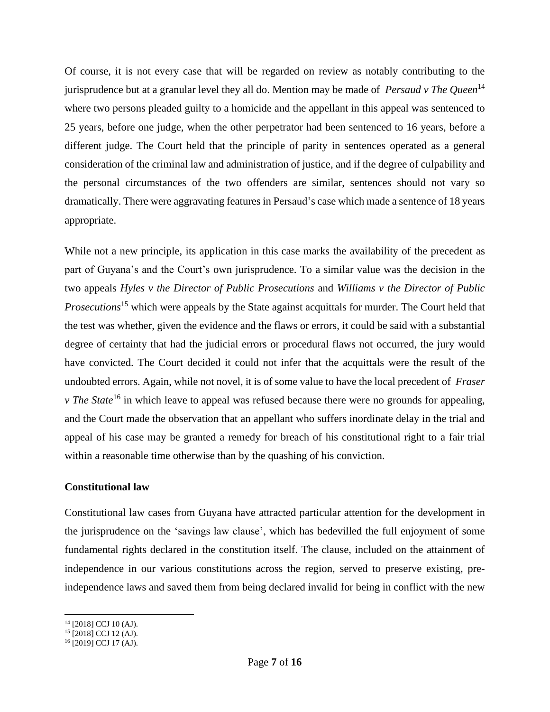Of course, it is not every case that will be regarded on review as notably contributing to the jurisprudence but at a granular level they all do. Mention may be made of *Persaud v The Queen*<sup>14</sup> where two persons pleaded guilty to a homicide and the appellant in this appeal was sentenced to 25 years, before one judge, when the other perpetrator had been sentenced to 16 years, before a different judge. The Court held that the principle of parity in sentences operated as a general consideration of the criminal law and administration of justice, and if the degree of culpability and the personal circumstances of the two offenders are similar, sentences should not vary so dramatically. There were aggravating features in Persaud's case which made a sentence of 18 years appropriate.

While not a new principle, its application in this case marks the availability of the precedent as part of Guyana's and the Court's own jurisprudence. To a similar value was the decision in the two appeals *Hyles v the Director of Public Prosecutions* and *Williams v the Director of Public Prosecutions*<sup>15</sup> which were appeals by the State against acquittals for murder. The Court held that the test was whether, given the evidence and the flaws or errors, it could be said with a substantial degree of certainty that had the judicial errors or procedural flaws not occurred, the jury would have convicted. The Court decided it could not infer that the acquittals were the result of the undoubted errors. Again, while not novel, it is of some value to have the local precedent of *Fraser v* The State<sup>16</sup> in which leave to appeal was refused because there were no grounds for appealing, and the Court made the observation that an appellant who suffers inordinate delay in the trial and appeal of his case may be granted a remedy for breach of his constitutional right to a fair trial within a reasonable time otherwise than by the quashing of his conviction.

## **Constitutional law**

Constitutional law cases from Guyana have attracted particular attention for the development in the jurisprudence on the 'savings law clause', which has bedevilled the full enjoyment of some fundamental rights declared in the constitution itself. The clause, included on the attainment of independence in our various constitutions across the region, served to preserve existing, preindependence laws and saved them from being declared invalid for being in conflict with the new

<sup>14</sup> [2018] CCJ 10 (AJ).

<sup>15</sup> [2018] CCJ 12 (AJ).

<sup>16</sup> [2019] CCJ 17 (AJ).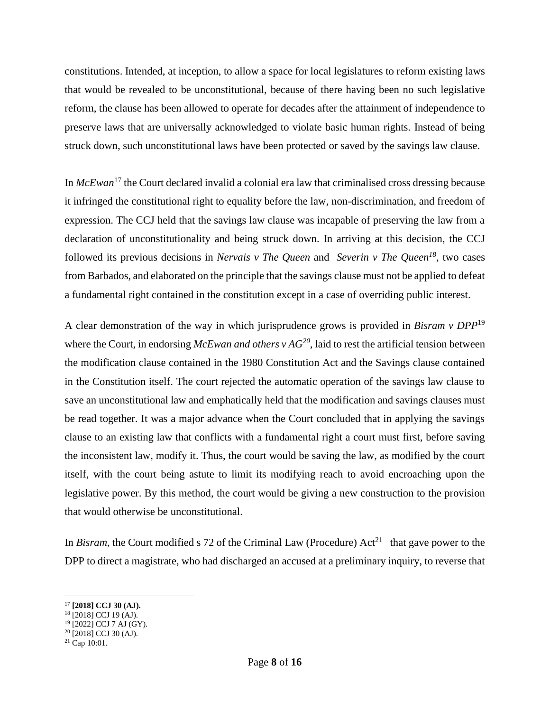constitutions. Intended, at inception, to allow a space for local legislatures to reform existing laws that would be revealed to be unconstitutional, because of there having been no such legislative reform, the clause has been allowed to operate for decades after the attainment of independence to preserve laws that are universally acknowledged to violate basic human rights. Instead of being struck down, such unconstitutional laws have been protected or saved by the savings law clause.

In *McEwan*<sup>17</sup> the Court declared invalid a colonial era law that criminalised cross dressing because it infringed the constitutional right to equality before the law, non-discrimination, and freedom of expression. The CCJ held that the savings law clause was incapable of preserving the law from a declaration of unconstitutionality and being struck down. In arriving at this decision, the CCJ followed its previous decisions in *Nervais v The Queen* and *Severin v The Queen<sup>18</sup>*, two cases from Barbados, and elaborated on the principle that the savings clause must not be applied to defeat a fundamental right contained in the constitution except in a case of overriding public interest.

A clear demonstration of the way in which jurisprudence grows is provided in *Bisram v DPP*<sup>19</sup> where the Court, in endorsing *McEwan and others v AG*<sup>20</sup>, laid to rest the artificial tension between the modification clause contained in the 1980 Constitution Act and the Savings clause contained in the Constitution itself. The court rejected the automatic operation of the savings law clause to save an unconstitutional law and emphatically held that the modification and savings clauses must be read together. It was a major advance when the Court concluded that in applying the savings clause to an existing law that conflicts with a fundamental right a court must first, before saving the inconsistent law, modify it. Thus, the court would be saving the law, as modified by the court itself, with the court being astute to limit its modifying reach to avoid encroaching upon the legislative power. By this method, the court would be giving a new construction to the provision that would otherwise be unconstitutional.

In *Bisram*, the Court modified s 72 of the Criminal Law (Procedure)  $Act^{21}$  that gave power to the DPP to direct a magistrate, who had discharged an accused at a preliminary inquiry, to reverse that

<sup>17</sup> **[2018] CCJ 30 (AJ).**

<sup>18</sup> [2018] CCJ 19 (AJ).

<sup>19</sup> [2022] CCJ 7 AJ (GY).

<sup>20</sup> [2018] CCJ 30 (AJ).

<sup>21</sup> Cap 10:01.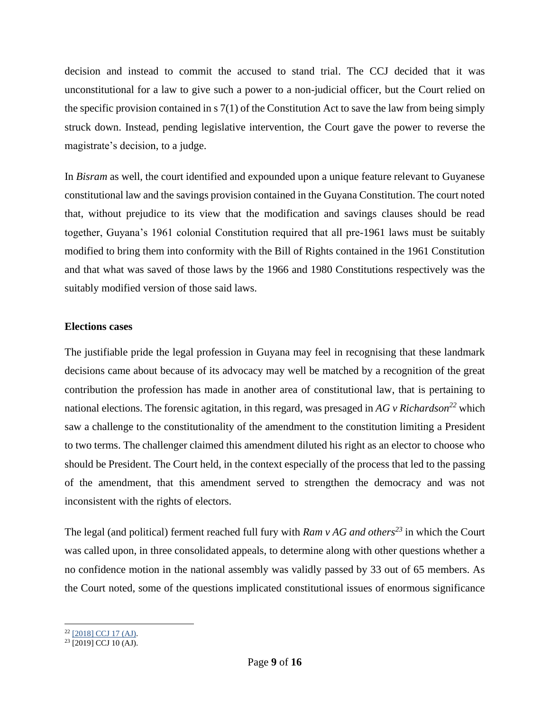decision and instead to commit the accused to stand trial. The CCJ decided that it was unconstitutional for a law to give such a power to a non-judicial officer, but the Court relied on the specific provision contained in s 7(1) of the Constitution Act to save the law from being simply struck down. Instead, pending legislative intervention, the Court gave the power to reverse the magistrate's decision, to a judge.

In *Bisram* as well, the court identified and expounded upon a unique feature relevant to Guyanese constitutional law and the savings provision contained in the Guyana Constitution. The court noted that, without prejudice to its view that the modification and savings clauses should be read together, Guyana's 1961 colonial Constitution required that all pre-1961 laws must be suitably modified to bring them into conformity with the Bill of Rights contained in the 1961 Constitution and that what was saved of those laws by the 1966 and 1980 Constitutions respectively was the suitably modified version of those said laws.

## **Elections cases**

The justifiable pride the legal profession in Guyana may feel in recognising that these landmark decisions came about because of its advocacy may well be matched by a recognition of the great contribution the profession has made in another area of constitutional law, that is pertaining to national elections. The forensic agitation, in this regard, was presaged in *AG v Richardson<sup>22</sup>* which saw a challenge to the constitutionality of the amendment to the constitution limiting a President to two terms. The challenger claimed this amendment diluted his right as an elector to choose who should be President. The Court held, in the context especially of the process that led to the passing of the amendment, that this amendment served to strengthen the democracy and was not inconsistent with the rights of electors.

The legal (and political) ferment reached full fury with *Ram v AG and others<sup>23</sup>* in which the Court was called upon, in three consolidated appeals, to determine along with other questions whether a no confidence motion in the national assembly was validly passed by 33 out of 65 members. As the Court noted, some of the questions implicated constitutional issues of enormous significance

<sup>&</sup>lt;sup>22</sup> [\[2018\]](http://www.ccj.org/wp-content/uploads/2021/02/2018-CCJ-17-AJ-1.pdf) CCJ 17 (AJ).

<sup>&</sup>lt;sup>23</sup> [2019] CCJ 10 (AJ).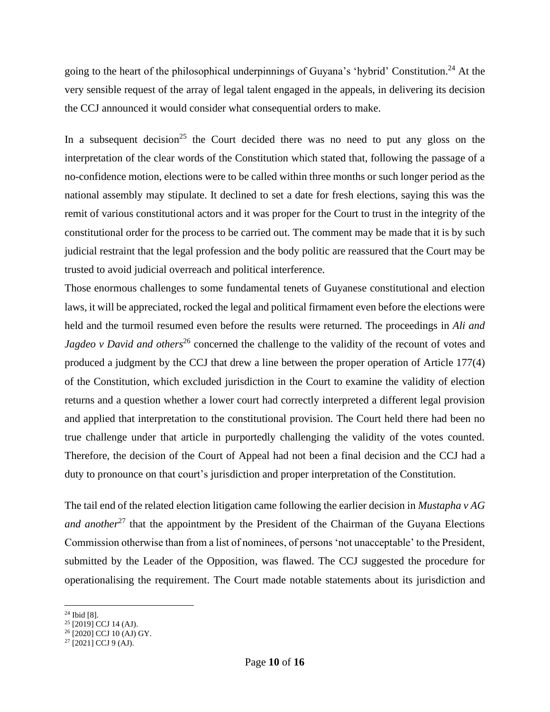going to the heart of the philosophical underpinnings of Guyana's 'hybrid' Constitution.<sup>24</sup> At the very sensible request of the array of legal talent engaged in the appeals, in delivering its decision the CCJ announced it would consider what consequential orders to make.

In a subsequent decision<sup>25</sup> the Court decided there was no need to put any gloss on the interpretation of the clear words of the Constitution which stated that, following the passage of a no-confidence motion, elections were to be called within three months or such longer period as the national assembly may stipulate. It declined to set a date for fresh elections, saying this was the remit of various constitutional actors and it was proper for the Court to trust in the integrity of the constitutional order for the process to be carried out. The comment may be made that it is by such judicial restraint that the legal profession and the body politic are reassured that the Court may be trusted to avoid judicial overreach and political interference.

Those enormous challenges to some fundamental tenets of Guyanese constitutional and election laws, it will be appreciated, rocked the legal and political firmament even before the elections were held and the turmoil resumed even before the results were returned. The proceedings in *Ali and Jagdeo v David and others*<sup>26</sup> concerned the challenge to the validity of the recount of votes and produced a judgment by the CCJ that drew a line between the proper operation of Article 177(4) of the Constitution, which excluded jurisdiction in the Court to examine the validity of election returns and a question whether a lower court had correctly interpreted a different legal provision and applied that interpretation to the constitutional provision. The Court held there had been no true challenge under that article in purportedly challenging the validity of the votes counted. Therefore, the decision of the Court of Appeal had not been a final decision and the CCJ had a duty to pronounce on that court's jurisdiction and proper interpretation of the Constitution.

The tail end of the related election litigation came following the earlier decision in *Mustapha v AG and another*<sup>27</sup> that the appointment by the President of the Chairman of the Guyana Elections Commission otherwise than from a list of nominees, of persons 'not unacceptable' to the President, submitted by the Leader of the Opposition, was flawed. The CCJ suggested the procedure for operationalising the requirement. The Court made notable statements about its jurisdiction and

<sup>24</sup> Ibid [8].

<sup>&</sup>lt;sup>25</sup> [2019] CCJ 14 (AJ).

<sup>26</sup> [2020] CCJ 10 (AJ) GY.

<sup>27</sup> [2021] CCJ 9 (AJ).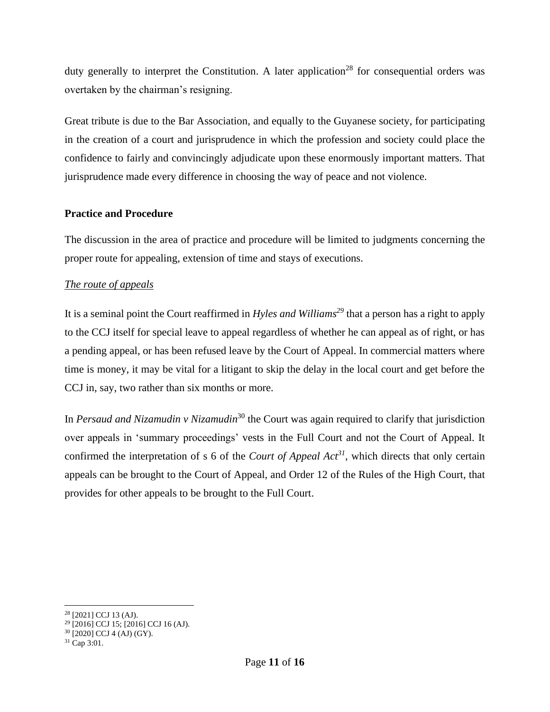duty generally to interpret the Constitution. A later application<sup>28</sup> for consequential orders was overtaken by the chairman's resigning.

Great tribute is due to the Bar Association, and equally to the Guyanese society, for participating in the creation of a court and jurisprudence in which the profession and society could place the confidence to fairly and convincingly adjudicate upon these enormously important matters. That jurisprudence made every difference in choosing the way of peace and not violence.

## **Practice and Procedure**

The discussion in the area of practice and procedure will be limited to judgments concerning the proper route for appealing, extension of time and stays of executions.

# *The route of appeals*

It is a seminal point the Court reaffirmed in *Hyles and Williams<sup>29</sup>* that a person has a right to apply to the CCJ itself for special leave to appeal regardless of whether he can appeal as of right, or has a pending appeal, or has been refused leave by the Court of Appeal. In commercial matters where time is money, it may be vital for a litigant to skip the delay in the local court and get before the CCJ in, say, two rather than six months or more.

In *Persaud and Nizamudin v Nizamudin*<sup>30</sup> the Court was again required to clarify that jurisdiction over appeals in 'summary proceedings' vests in the Full Court and not the Court of Appeal. It confirmed the interpretation of s 6 of the *Court of Appeal Act<sup>31</sup>*, which directs that only certain appeals can be brought to the Court of Appeal, and Order 12 of the Rules of the High Court, that provides for other appeals to be brought to the Full Court.

<sup>&</sup>lt;sup>28</sup> [2021] CCJ 13 (AJ).

 $^{29}$  [2016] CCJ 15; [2016] CCJ 16 (AJ).

<sup>30</sup> [2020] CCJ 4 (AJ) (GY).

<sup>31</sup> Cap 3:01.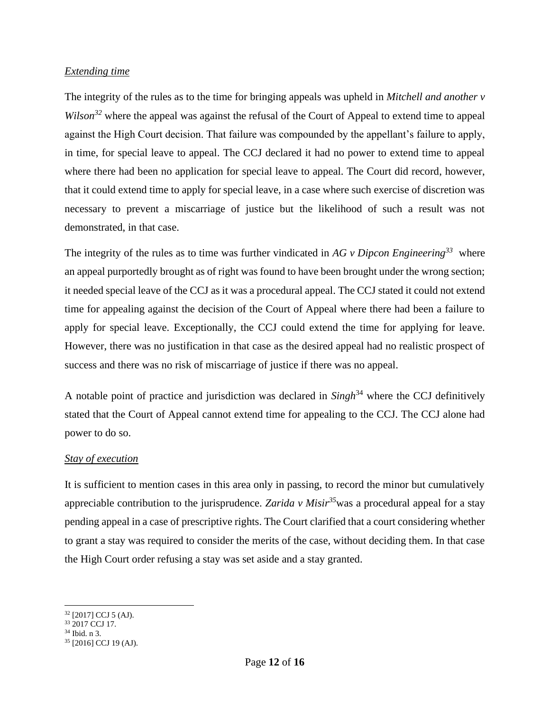## *Extending time*

The integrity of the rules as to the time for bringing appeals was upheld in *Mitchell and another v Wilson*<sup>32</sup> where the appeal was against the refusal of the Court of Appeal to extend time to appeal against the High Court decision. That failure was compounded by the appellant's failure to apply, in time, for special leave to appeal. The CCJ declared it had no power to extend time to appeal where there had been no application for special leave to appeal. The Court did record, however, that it could extend time to apply for special leave, in a case where such exercise of discretion was necessary to prevent a miscarriage of justice but the likelihood of such a result was not demonstrated, in that case.

The integrity of the rules as to time was further vindicated in *AG v Dipcon Engineering<sup>33</sup>* where an appeal purportedly brought as of right was found to have been brought under the wrong section; it needed special leave of the CCJ as it was a procedural appeal. The CCJ stated it could not extend time for appealing against the decision of the Court of Appeal where there had been a failure to apply for special leave. Exceptionally, the CCJ could extend the time for applying for leave. However, there was no justification in that case as the desired appeal had no realistic prospect of success and there was no risk of miscarriage of justice if there was no appeal.

A notable point of practice and jurisdiction was declared in *Singh*<sup>34</sup> where the CCJ definitively stated that the Court of Appeal cannot extend time for appealing to the CCJ. The CCJ alone had power to do so.

## *Stay of execution*

It is sufficient to mention cases in this area only in passing, to record the minor but cumulatively appreciable contribution to the jurisprudence. *Zarida v Misir<sup>35</sup>*was a procedural appeal for a stay pending appeal in a case of prescriptive rights. The Court clarified that a court considering whether to grant a stay was required to consider the merits of the case, without deciding them. In that case the High Court order refusing a stay was set aside and a stay granted.

 $32$  [2017] CCJ 5 (AJ).

<sup>33</sup> 2017 CCJ 17.

<sup>34</sup> Ibid. n 3.

<sup>35</sup> [2016] CCJ 19 (AJ).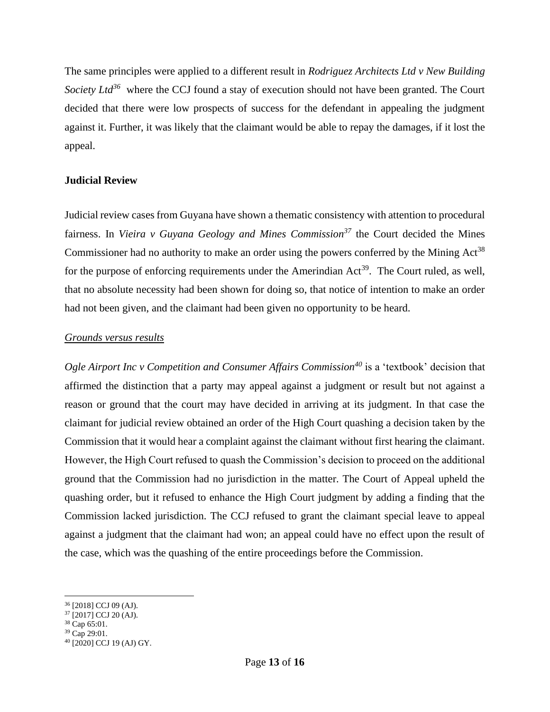The same principles were applied to a different result in *Rodriguez Architects Ltd v New Building*  Society Ltd<sup>36</sup> where the CCJ found a stay of execution should not have been granted. The Court decided that there were low prospects of success for the defendant in appealing the judgment against it. Further, it was likely that the claimant would be able to repay the damages, if it lost the appeal.

## **Judicial Review**

Judicial review cases from Guyana have shown a thematic consistency with attention to procedural fairness. In *Vieira v Guyana Geology and Mines Commission<sup>37</sup>* the Court decided the Mines Commissioner had no authority to make an order using the powers conferred by the Mining Act<sup>38</sup> for the purpose of enforcing requirements under the Amerindian  $Act^{39}$ . The Court ruled, as well, that no absolute necessity had been shown for doing so, that notice of intention to make an order had not been given, and the claimant had been given no opportunity to be heard.

## *Grounds versus results*

*Ogle Airport Inc v Competition and Consumer Affairs Commission<sup>40</sup>* is a 'textbook' decision that affirmed the distinction that a party may appeal against a judgment or result but not against a reason or ground that the court may have decided in arriving at its judgment. In that case the claimant for judicial review obtained an order of the High Court quashing a decision taken by the Commission that it would hear a complaint against the claimant without first hearing the claimant. However, the High Court refused to quash the Commission's decision to proceed on the additional ground that the Commission had no jurisdiction in the matter. The Court of Appeal upheld the quashing order, but it refused to enhance the High Court judgment by adding a finding that the Commission lacked jurisdiction. The CCJ refused to grant the claimant special leave to appeal against a judgment that the claimant had won; an appeal could have no effect upon the result of the case, which was the quashing of the entire proceedings before the Commission.

<sup>36</sup> [2018] CCJ 09 (AJ).

<sup>37</sup> [2017] CCJ 20 (AJ).

<sup>38</sup> Cap 65:01.

 $39 \text{ Cap } 29:01.$ 

<sup>40</sup> [2020] CCJ 19 (AJ) GY.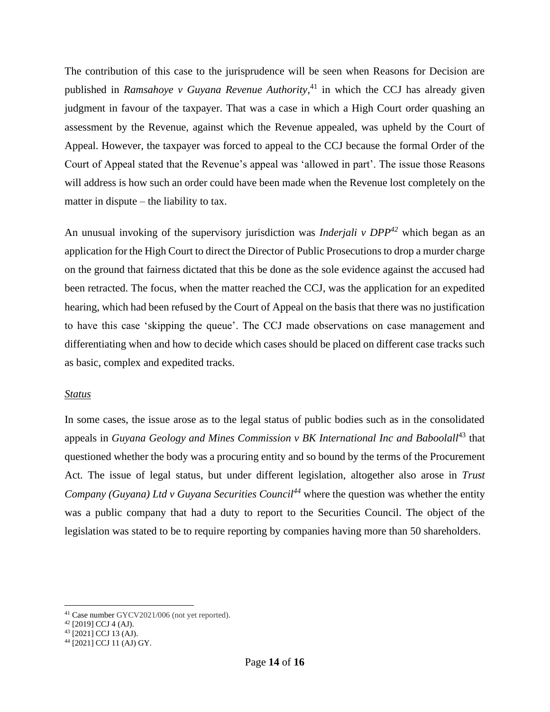The contribution of this case to the jurisprudence will be seen when Reasons for Decision are published in *Ramsahoye v Guyana Revenue Authority*, <sup>41</sup> in which the CCJ has already given judgment in favour of the taxpayer. That was a case in which a High Court order quashing an assessment by the Revenue, against which the Revenue appealed, was upheld by the Court of Appeal. However, the taxpayer was forced to appeal to the CCJ because the formal Order of the Court of Appeal stated that the Revenue's appeal was 'allowed in part'. The issue those Reasons will address is how such an order could have been made when the Revenue lost completely on the matter in dispute – the liability to tax.

An unusual invoking of the supervisory jurisdiction was *Inderjali v DPP<sup>42</sup>* which began as an application for the High Court to direct the Director of Public Prosecutions to drop a murder charge on the ground that fairness dictated that this be done as the sole evidence against the accused had been retracted. The focus, when the matter reached the CCJ, was the application for an expedited hearing, which had been refused by the Court of Appeal on the basis that there was no justification to have this case 'skipping the queue'. The CCJ made observations on case management and differentiating when and how to decide which cases should be placed on different case tracks such as basic, complex and expedited tracks.

## *Status*

In some cases, the issue arose as to the legal status of public bodies such as in the consolidated appeals in *Guyana Geology and Mines Commission v BK International Inc and Baboolall*<sup>43</sup> that questioned whether the body was a procuring entity and so bound by the terms of the Procurement Act. The issue of legal status, but under different legislation, altogether also arose in *Trust Company (Guyana) Ltd v Guyana Securities Council<sup>44</sup>* where the question was whether the entity was a public company that had a duty to report to the Securities Council. The object of the legislation was stated to be to require reporting by companies having more than 50 shareholders.

<sup>41</sup> Case number GYCV2021/006 (not yet reported).

 $42$  [2019] CCJ 4 (AJ).

<sup>43 [2021]</sup> CCJ 13 (AJ).

<sup>44</sup> [2021] CCJ 11 (AJ) GY.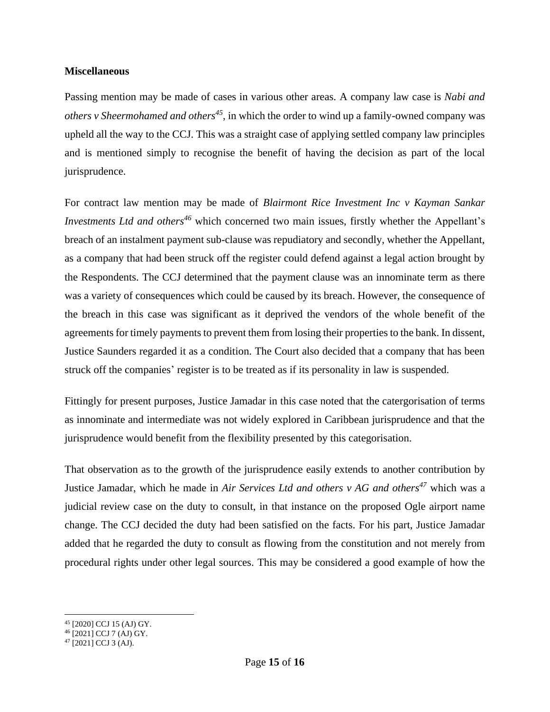#### **Miscellaneous**

Passing mention may be made of cases in various other areas. A company law case is *Nabi and others v Sheermohamed and others<sup>45</sup>* , in which the order to wind up a family-owned company was upheld all the way to the CCJ. This was a straight case of applying settled company law principles and is mentioned simply to recognise the benefit of having the decision as part of the local jurisprudence.

For contract law mention may be made of *Blairmont Rice Investment Inc v Kayman Sankar Investments Ltd and others<sup>46</sup>* which concerned two main issues, firstly whether the Appellant's breach of an instalment payment sub-clause was repudiatory and secondly, whether the Appellant, as a company that had been struck off the register could defend against a legal action brought by the Respondents. The CCJ determined that the payment clause was an innominate term as there was a variety of consequences which could be caused by its breach. However, the consequence of the breach in this case was significant as it deprived the vendors of the whole benefit of the agreements for timely payments to prevent them from losing their properties to the bank. In dissent, Justice Saunders regarded it as a condition. The Court also decided that a company that has been struck off the companies' register is to be treated as if its personality in law is suspended.

Fittingly for present purposes, Justice Jamadar in this case noted that the catergorisation of terms as innominate and intermediate was not widely explored in Caribbean jurisprudence and that the jurisprudence would benefit from the flexibility presented by this categorisation.

That observation as to the growth of the jurisprudence easily extends to another contribution by Justice Jamadar, which he made in *Air Services Ltd and others v AG and others<sup>47</sup>* which was a judicial review case on the duty to consult, in that instance on the proposed Ogle airport name change. The CCJ decided the duty had been satisfied on the facts. For his part, Justice Jamadar added that he regarded the duty to consult as flowing from the constitution and not merely from procedural rights under other legal sources. This may be considered a good example of how the

<sup>45</sup> [2020] CCJ 15 (AJ) GY.

<sup>46</sup> [2021] CCJ 7 (AJ) GY.

<sup>47</sup> [2021] CCJ 3 (AJ).